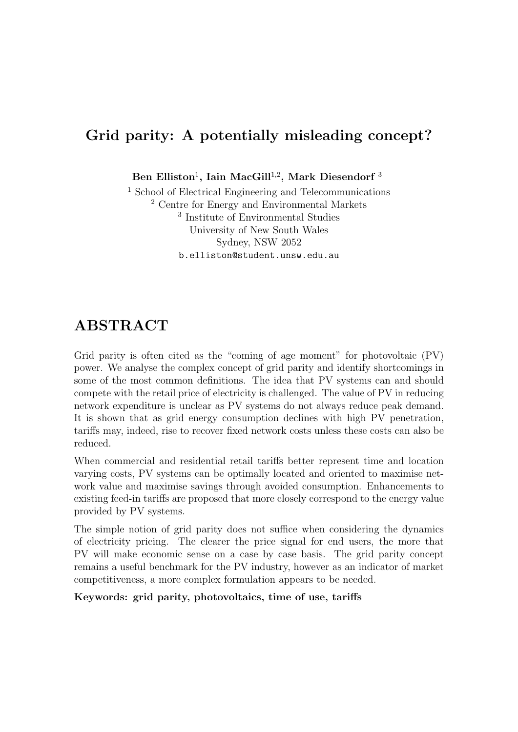#### Grid parity: A potentially misleading concept?

Ben Elliston<sup>1</sup>, Iain MacGill<sup>1,2</sup>, Mark Diesendorf<sup>3</sup>

<sup>1</sup> School of Electrical Engineering and Telecommunications <sup>2</sup> Centre for Energy and Environmental Markets 3 Institute of Environmental Studies University of New South Wales Sydney, NSW 2052 b.elliston@student.unsw.edu.au

#### ABSTRACT

Grid parity is often cited as the "coming of age moment" for photovoltaic (PV) power. We analyse the complex concept of grid parity and identify shortcomings in some of the most common definitions. The idea that PV systems can and should compete with the retail price of electricity is challenged. The value of PV in reducing network expenditure is unclear as PV systems do not always reduce peak demand. It is shown that as grid energy consumption declines with high PV penetration, tariffs may, indeed, rise to recover fixed network costs unless these costs can also be reduced.

When commercial and residential retail tariffs better represent time and location varying costs, PV systems can be optimally located and oriented to maximise network value and maximise savings through avoided consumption. Enhancements to existing feed-in tariffs are proposed that more closely correspond to the energy value provided by PV systems.

The simple notion of grid parity does not suffice when considering the dynamics of electricity pricing. The clearer the price signal for end users, the more that PV will make economic sense on a case by case basis. The grid parity concept remains a useful benchmark for the PV industry, however as an indicator of market competitiveness, a more complex formulation appears to be needed.

Keywords: grid parity, photovoltaics, time of use, tariffs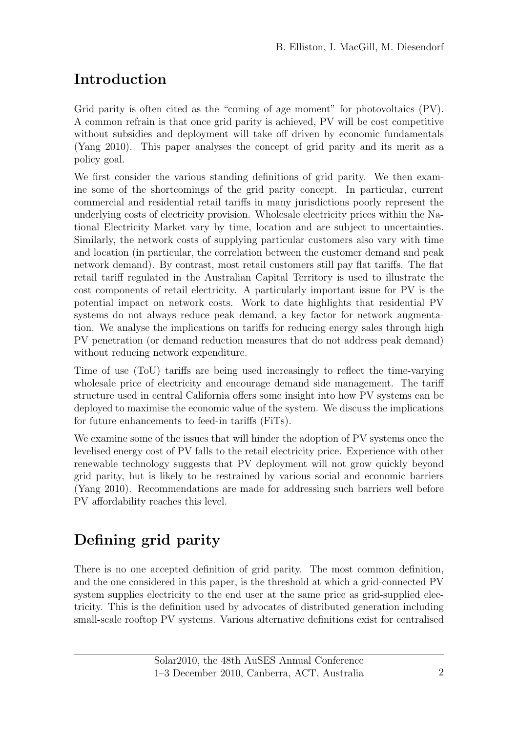## Introduction

Grid parity is often cited as the "coming of age moment" for photovoltaics  $(PV)$ . A common refrain is that once grid parity is achieved, PV will be cost competitive without subsidies and deployment will take off driven by economic fundamentals (Yang 2010). This paper analyses the concept of grid parity and its merit as a policy goal.

We first consider the various standing definitions of grid parity. We then examine some of the shortcomings of the grid parity concept. In particular, current commercial and residential retail tariffs in many jurisdictions poorly represent the underlying costs of electricity provision. Wholesale electricity prices within the National Electricity Market vary by time, location and are subject to uncertainties. Similarly, the network costs of supplying particular customers also vary with time and location (in particular, the correlation between the customer demand and peak network demand). By contrast, most retail customers still pay flat tariffs. The flat retail tariff regulated in the Australian Capital Territory is used to illustrate the cost components of retail electricity. A particularly important issue for PV is the potential impact on network costs. Work to date highlights that residential PV systems do not always reduce peak demand, a key factor for network augmentation. We analyse the implications on tariffs for reducing energy sales through high PV penetration (or demand reduction measures that do not address peak demand) without reducing network expenditure.

Time of use (ToU) tariffs are being used increasingly to reflect the time-varying wholesale price of electricity and encourage demand side management. The tariff structure used in central California offers some insight into how PV systems can be deployed to maximise the economic value of the system. We discuss the implications for future enhancements to feed-in tariffs (FiTs).

We examine some of the issues that will hinder the adoption of PV systems once the levelised energy cost of PV falls to the retail electricity price. Experience with other renewable technology suggests that PV deployment will not grow quickly beyond grid parity, but is likely to be restrained by various social and economic barriers (Yang 2010). Recommendations are made for addressing such barriers well before PV affordability reaches this level.

# Defining grid parity

There is no one accepted definition of grid parity. The most common definition, and the one considered in this paper, is the threshold at which a grid-connected PV system supplies electricity to the end user at the same price as grid-supplied electricity. This is the definition used by advocates of distributed generation including small-scale rooftop PV systems. Various alternative definitions exist for centralised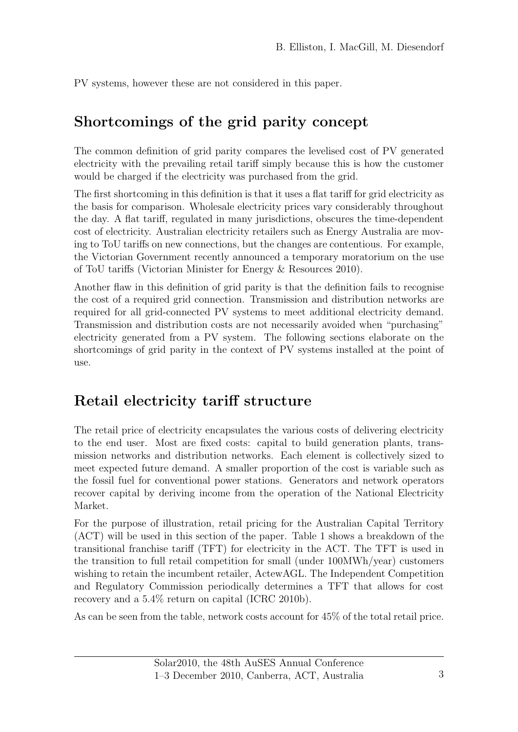PV systems, however these are not considered in this paper.

## Shortcomings of the grid parity concept

The common definition of grid parity compares the levelised cost of PV generated electricity with the prevailing retail tariff simply because this is how the customer would be charged if the electricity was purchased from the grid.

The first shortcoming in this definition is that it uses a flat tariff for grid electricity as the basis for comparison. Wholesale electricity prices vary considerably throughout the day. A flat tariff, regulated in many jurisdictions, obscures the time-dependent cost of electricity. Australian electricity retailers such as Energy Australia are moving to ToU tariffs on new connections, but the changes are contentious. For example, the Victorian Government recently announced a temporary moratorium on the use of ToU tariffs (Victorian Minister for Energy & Resources 2010).

Another flaw in this definition of grid parity is that the definition fails to recognise the cost of a required grid connection. Transmission and distribution networks are required for all grid-connected PV systems to meet additional electricity demand. Transmission and distribution costs are not necessarily avoided when "purchasing" electricity generated from a PV system. The following sections elaborate on the shortcomings of grid parity in the context of PV systems installed at the point of use.

### Retail electricity tariff structure

The retail price of electricity encapsulates the various costs of delivering electricity to the end user. Most are fixed costs: capital to build generation plants, transmission networks and distribution networks. Each element is collectively sized to meet expected future demand. A smaller proportion of the cost is variable such as the fossil fuel for conventional power stations. Generators and network operators recover capital by deriving income from the operation of the National Electricity Market.

For the purpose of illustration, retail pricing for the Australian Capital Territory (ACT) will be used in this section of the paper. Table 1 shows a breakdown of the transitional franchise tariff (TFT) for electricity in the ACT. The TFT is used in the transition to full retail competition for small (under 100MWh/year) customers wishing to retain the incumbent retailer, ActewAGL. The Independent Competition and Regulatory Commission periodically determines a TFT that allows for cost recovery and a 5.4% return on capital (ICRC 2010b).

As can be seen from the table, network costs account for 45% of the total retail price.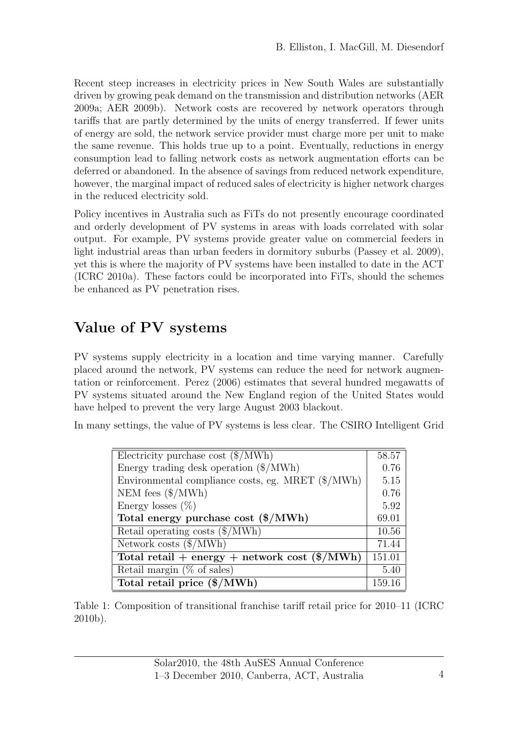Recent steep increases in electricity prices in New South Wales are substantially driven by growing peak demand on the transmission and distribution networks (AER 2009a; AER 2009b). Network costs are recovered by network operators through tariffs that are partly determined by the units of energy transferred. If fewer units of energy are sold, the network service provider must charge more per unit to make the same revenue. This holds true up to a point. Eventually, reductions in energy consumption lead to falling network costs as network augmentation efforts can be deferred or abandoned. In the absence of savings from reduced network expenditure, however, the marginal impact of reduced sales of electricity is higher network charges in the reduced electricity sold.

Policy incentives in Australia such as FiTs do not presently encourage coordinated and orderly development of PV systems in areas with loads correlated with solar output. For example, PV systems provide greater value on commercial feeders in light industrial areas than urban feeders in dormitory suburbs (Passey et al. 2009), yet this is where the majority of PV systems have been installed to date in the ACT (ICRC 2010a). These factors could be incorporated into FiTs, should the schemes be enhanced as PV penetration rises.

### Value of PV systems

PV systems supply electricity in a location and time varying manner. Carefully placed around the network, PV systems can reduce the need for network augmentation or reinforcement. Perez (2006) estimates that several hundred megawatts of PV systems situated around the New England region of the United States would have helped to prevent the very large August 2003 blackout.

In many settings, the value of PV systems is less clear. The CSIRO Intelligent Grid

| Electricity purchase cost $(\frac{1}{2}MWh)$      | 58.57  |
|---------------------------------------------------|--------|
| Energy trading desk operation (\$/MWh)            | 0.76   |
| Environmental compliance costs, eg. MRET (\$/MWh) | 5.15   |
| NEM fees $(\frac{\text{M}}{\text{W}})$            | 0.76   |
| Energy losses $(\%)$                              | 5.92   |
| Total energy purchase cost $(\$/MWh)$             | 69.01  |
| Retail operating costs $(\frac{1}{2} / MWh)$      | 10.56  |
| Network costs $(\frac{1}{2}MWh)$                  | 71.44  |
| Total retail + energy + network cost $(\$/MWh)$   | 151.01 |
| Retail margin $(\%$ of sales)                     | 5.40   |
| Total retail price (\$/MWh)                       | 159.16 |

Table 1: Composition of transitional franchise tariff retail price for 2010–11 (ICRC 2010b).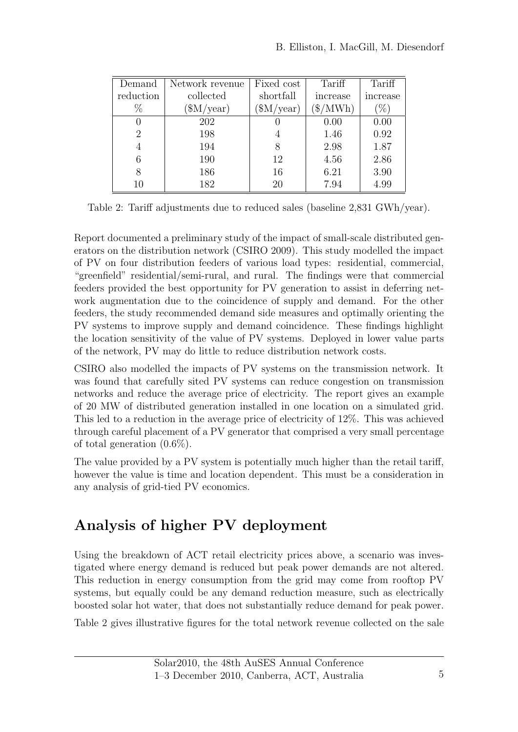| Demand           | Network revenue           | Fixed cost        | Tariff             | Tariff   |
|------------------|---------------------------|-------------------|--------------------|----------|
| reduction        | collected                 | shortfall         | increase           | increase |
| %                | $(\text{SM}/\text{year})$ | $(\text{M/year})$ | $\gamma_{\rm MWh}$ | %`       |
| $\left( \right)$ | 202                       |                   | 0.00               | 0.00     |
| $\overline{2}$   | 198                       | 4                 | 1.46               | 0.92     |
| 4                | 194                       | 8                 | 2.98               | 1.87     |
| 6                | 190                       | 12                | 4.56               | 2.86     |
| 8                | 186                       | 16                | 6.21               | 3.90     |
| 10               | 182                       | 20                | 7.94               | 4.99     |

Table 2: Tariff adjustments due to reduced sales (baseline 2,831 GWh/year).

Report documented a preliminary study of the impact of small-scale distributed generators on the distribution network (CSIRO 2009). This study modelled the impact of PV on four distribution feeders of various load types: residential, commercial, "greenfield" residential/semi-rural, and rural. The findings were that commercial feeders provided the best opportunity for PV generation to assist in deferring network augmentation due to the coincidence of supply and demand. For the other feeders, the study recommended demand side measures and optimally orienting the PV systems to improve supply and demand coincidence. These findings highlight the location sensitivity of the value of PV systems. Deployed in lower value parts of the network, PV may do little to reduce distribution network costs.

CSIRO also modelled the impacts of PV systems on the transmission network. It was found that carefully sited PV systems can reduce congestion on transmission networks and reduce the average price of electricity. The report gives an example of 20 MW of distributed generation installed in one location on a simulated grid. This led to a reduction in the average price of electricity of 12%. This was achieved through careful placement of a PV generator that comprised a very small percentage of total generation (0.6%).

The value provided by a PV system is potentially much higher than the retail tariff, however the value is time and location dependent. This must be a consideration in any analysis of grid-tied PV economics.

### Analysis of higher PV deployment

Using the breakdown of ACT retail electricity prices above, a scenario was investigated where energy demand is reduced but peak power demands are not altered. This reduction in energy consumption from the grid may come from rooftop PV systems, but equally could be any demand reduction measure, such as electrically boosted solar hot water, that does not substantially reduce demand for peak power.

Table 2 gives illustrative figures for the total network revenue collected on the sale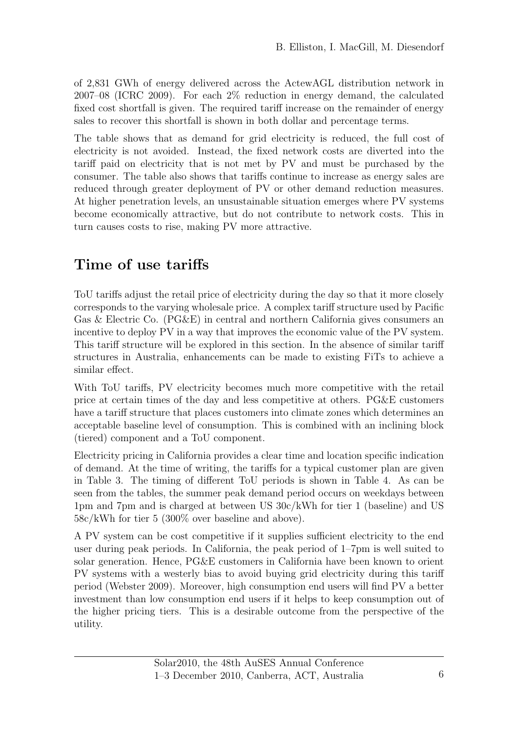of 2,831 GWh of energy delivered across the ActewAGL distribution network in 2007–08 (ICRC 2009). For each 2% reduction in energy demand, the calculated fixed cost shortfall is given. The required tariff increase on the remainder of energy sales to recover this shortfall is shown in both dollar and percentage terms.

The table shows that as demand for grid electricity is reduced, the full cost of electricity is not avoided. Instead, the fixed network costs are diverted into the tariff paid on electricity that is not met by PV and must be purchased by the consumer. The table also shows that tariffs continue to increase as energy sales are reduced through greater deployment of PV or other demand reduction measures. At higher penetration levels, an unsustainable situation emerges where PV systems become economically attractive, but do not contribute to network costs. This in turn causes costs to rise, making PV more attractive.

#### Time of use tariffs

ToU tariffs adjust the retail price of electricity during the day so that it more closely corresponds to the varying wholesale price. A complex tariff structure used by Pacific Gas & Electric Co. (PG&E) in central and northern California gives consumers an incentive to deploy PV in a way that improves the economic value of the PV system. This tariff structure will be explored in this section. In the absence of similar tariff structures in Australia, enhancements can be made to existing FiTs to achieve a similar effect.

With ToU tariffs, PV electricity becomes much more competitive with the retail price at certain times of the day and less competitive at others. PG&E customers have a tariff structure that places customers into climate zones which determines an acceptable baseline level of consumption. This is combined with an inclining block (tiered) component and a ToU component.

Electricity pricing in California provides a clear time and location specific indication of demand. At the time of writing, the tariffs for a typical customer plan are given in Table 3. The timing of different ToU periods is shown in Table 4. As can be seen from the tables, the summer peak demand period occurs on weekdays between 1pm and 7pm and is charged at between US 30c/kWh for tier 1 (baseline) and US 58c/kWh for tier 5 (300% over baseline and above).

A PV system can be cost competitive if it supplies sufficient electricity to the end user during peak periods. In California, the peak period of 1–7pm is well suited to solar generation. Hence, PG&E customers in California have been known to orient PV systems with a westerly bias to avoid buying grid electricity during this tariff period (Webster 2009). Moreover, high consumption end users will find PV a better investment than low consumption end users if it helps to keep consumption out of the higher pricing tiers. This is a desirable outcome from the perspective of the utility.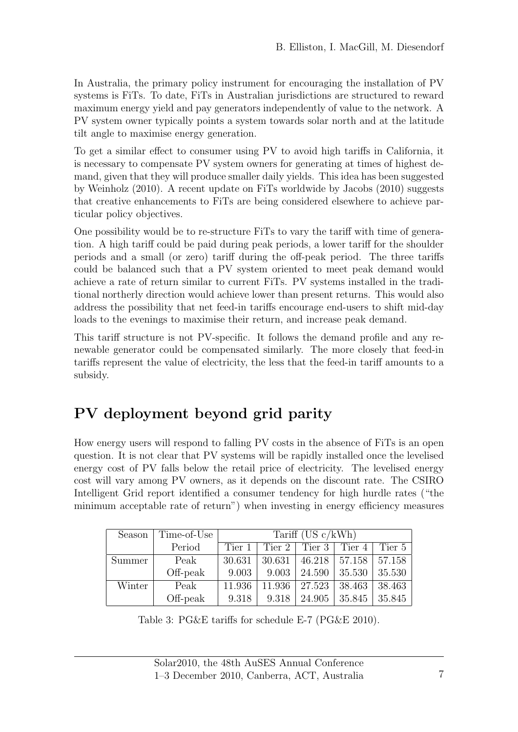In Australia, the primary policy instrument for encouraging the installation of PV systems is FiTs. To date, FiTs in Australian jurisdictions are structured to reward maximum energy yield and pay generators independently of value to the network. A PV system owner typically points a system towards solar north and at the latitude tilt angle to maximise energy generation.

To get a similar effect to consumer using PV to avoid high tariffs in California, it is necessary to compensate PV system owners for generating at times of highest demand, given that they will produce smaller daily yields. This idea has been suggested by Weinholz (2010). A recent update on FiTs worldwide by Jacobs (2010) suggests that creative enhancements to FiTs are being considered elsewhere to achieve particular policy objectives.

One possibility would be to re-structure FiTs to vary the tariff with time of generation. A high tariff could be paid during peak periods, a lower tariff for the shoulder periods and a small (or zero) tariff during the off-peak period. The three tariffs could be balanced such that a PV system oriented to meet peak demand would achieve a rate of return similar to current FiTs. PV systems installed in the traditional northerly direction would achieve lower than present returns. This would also address the possibility that net feed-in tariffs encourage end-users to shift mid-day loads to the evenings to maximise their return, and increase peak demand.

This tariff structure is not PV-specific. It follows the demand profile and any renewable generator could be compensated similarly. The more closely that feed-in tariffs represent the value of electricity, the less that the feed-in tariff amounts to a subsidy.

### PV deployment beyond grid parity

How energy users will respond to falling PV costs in the absence of FiTs is an open question. It is not clear that PV systems will be rapidly installed once the levelised energy cost of PV falls below the retail price of electricity. The levelised energy cost will vary among PV owners, as it depends on the discount rate. The CSIRO Intelligent Grid report identified a consumer tendency for high hurdle rates ("the minimum acceptable rate of return") when investing in energy efficiency measures

| Season | Time-of-Use | Tariff $(US \, c/kWh)$ |       |                                  |                                              |        |
|--------|-------------|------------------------|-------|----------------------------------|----------------------------------------------|--------|
|        | Period      | Tier 1                 |       |                                  | Tier 2   Tier 3   Tier 4                     | Tier 5 |
| Summer | Peak        | 30.631                 |       |                                  | $30.631 \mid 46.218 \mid 57.158 \mid 57.158$ |        |
|        | Off-peak    | 9.003                  | 9.003 |                                  | 24.590   35.530                              | 35.530 |
| Winter | Peak        | 11.936                 |       | $11.936 \mid 27.523 \mid 38.463$ |                                              | 38.463 |
|        | Off-peak    | 9.318                  | 9.318 | 24.905                           | 35.845                                       | 35.845 |

Table 3: PG&E tariffs for schedule E-7 (PG&E 2010).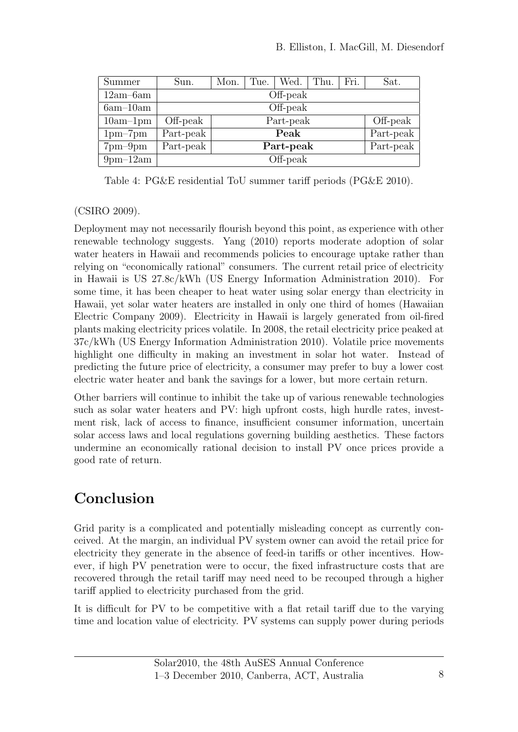| Summer                    | Sun.      | Mon.      | The.      | Wed. | Thu.      | Fri.      | Sat.     |
|---------------------------|-----------|-----------|-----------|------|-----------|-----------|----------|
| $12am - 6am$              | Off-peak  |           |           |      |           |           |          |
| $6am-10am$                | Off-peak  |           |           |      |           |           |          |
| $10am-1pm$                | Off-peak  |           | Part-peak |      |           |           | Off-peak |
| $1pm-7pm$                 | Part-peak | Peak      |           |      |           | Part-peak |          |
| $7 \text{pm}-9 \text{pm}$ | Part-peak | Part-peak |           |      | Part-peak |           |          |
| $9$ pm $-12$ am           | Off-peak  |           |           |      |           |           |          |

Table 4: PG&E residential ToU summer tariff periods (PG&E 2010).

#### (CSIRO 2009).

Deployment may not necessarily flourish beyond this point, as experience with other renewable technology suggests. Yang (2010) reports moderate adoption of solar water heaters in Hawaii and recommends policies to encourage uptake rather than relying on "economically rational" consumers. The current retail price of electricity in Hawaii is US 27.8c/kWh (US Energy Information Administration 2010). For some time, it has been cheaper to heat water using solar energy than electricity in Hawaii, yet solar water heaters are installed in only one third of homes (Hawaiian Electric Company 2009). Electricity in Hawaii is largely generated from oil-fired plants making electricity prices volatile. In 2008, the retail electricity price peaked at 37c/kWh (US Energy Information Administration 2010). Volatile price movements highlight one difficulty in making an investment in solar hot water. Instead of predicting the future price of electricity, a consumer may prefer to buy a lower cost electric water heater and bank the savings for a lower, but more certain return.

Other barriers will continue to inhibit the take up of various renewable technologies such as solar water heaters and PV: high upfront costs, high hurdle rates, investment risk, lack of access to finance, insufficient consumer information, uncertain solar access laws and local regulations governing building aesthetics. These factors undermine an economically rational decision to install PV once prices provide a good rate of return.

### Conclusion

Grid parity is a complicated and potentially misleading concept as currently conceived. At the margin, an individual PV system owner can avoid the retail price for electricity they generate in the absence of feed-in tariffs or other incentives. However, if high PV penetration were to occur, the fixed infrastructure costs that are recovered through the retail tariff may need need to be recouped through a higher tariff applied to electricity purchased from the grid.

It is difficult for PV to be competitive with a flat retail tariff due to the varying time and location value of electricity. PV systems can supply power during periods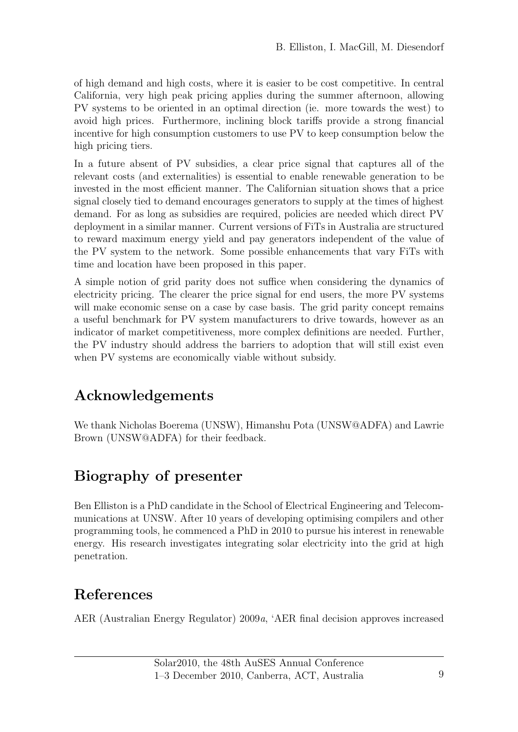of high demand and high costs, where it is easier to be cost competitive. In central California, very high peak pricing applies during the summer afternoon, allowing PV systems to be oriented in an optimal direction (ie. more towards the west) to avoid high prices. Furthermore, inclining block tariffs provide a strong financial incentive for high consumption customers to use PV to keep consumption below the high pricing tiers.

In a future absent of PV subsidies, a clear price signal that captures all of the relevant costs (and externalities) is essential to enable renewable generation to be invested in the most efficient manner. The Californian situation shows that a price signal closely tied to demand encourages generators to supply at the times of highest demand. For as long as subsidies are required, policies are needed which direct PV deployment in a similar manner. Current versions of FiTs in Australia are structured to reward maximum energy yield and pay generators independent of the value of the PV system to the network. Some possible enhancements that vary FiTs with time and location have been proposed in this paper.

A simple notion of grid parity does not suffice when considering the dynamics of electricity pricing. The clearer the price signal for end users, the more PV systems will make economic sense on a case by case basis. The grid parity concept remains a useful benchmark for PV system manufacturers to drive towards, however as an indicator of market competitiveness, more complex definitions are needed. Further, the PV industry should address the barriers to adoption that will still exist even when PV systems are economically viable without subsidy.

# Acknowledgements

We thank Nicholas Boerema (UNSW), Himanshu Pota (UNSW@ADFA) and Lawrie Brown (UNSW@ADFA) for their feedback.

# Biography of presenter

Ben Elliston is a PhD candidate in the School of Electrical Engineering and Telecommunications at UNSW. After 10 years of developing optimising compilers and other programming tools, he commenced a PhD in 2010 to pursue his interest in renewable energy. His research investigates integrating solar electricity into the grid at high penetration.

# References

AER (Australian Energy Regulator) 2009a, 'AER final decision approves increased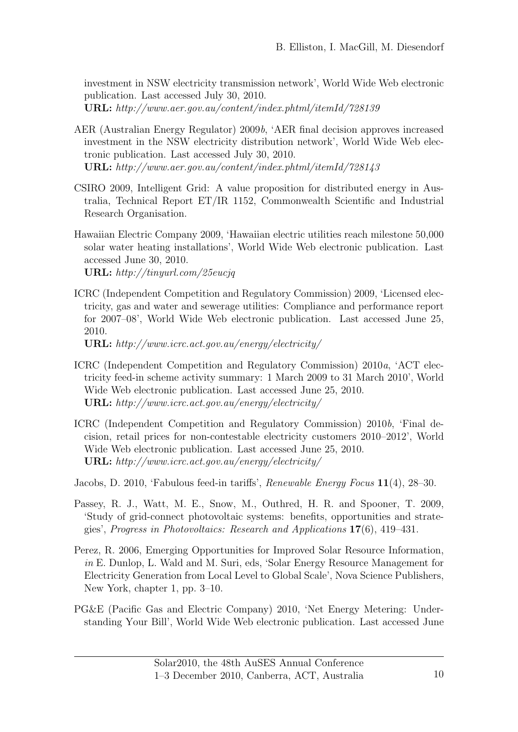investment in NSW electricity transmission network', World Wide Web electronic publication. Last accessed July 30, 2010. URL: http://www.aer.gov.au/content/index.phtml/itemId/728139

- AER (Australian Energy Regulator) 2009b, 'AER final decision approves increased investment in the NSW electricity distribution network', World Wide Web electronic publication. Last accessed July 30, 2010. URL: http://www.aer.gov.au/content/index.phtml/itemId/728143
- CSIRO 2009, Intelligent Grid: A value proposition for distributed energy in Australia, Technical Report ET/IR 1152, Commonwealth Scientific and Industrial Research Organisation.
- Hawaiian Electric Company 2009, 'Hawaiian electric utilities reach milestone 50,000 solar water heating installations', World Wide Web electronic publication. Last accessed June 30, 2010. URL: http://tinyurl.com/25eucjq
- ICRC (Independent Competition and Regulatory Commission) 2009, 'Licensed electricity, gas and water and sewerage utilities: Compliance and performance report for 2007–08', World Wide Web electronic publication. Last accessed June 25, 2010.

URL: http://www.icrc.act.gov.au/energy/electricity/

- ICRC (Independent Competition and Regulatory Commission) 2010a, 'ACT electricity feed-in scheme activity summary: 1 March 2009 to 31 March 2010', World Wide Web electronic publication. Last accessed June 25, 2010. URL: http://www.icrc.act.gov.au/energy/electricity/
- ICRC (Independent Competition and Regulatory Commission) 2010b, 'Final decision, retail prices for non-contestable electricity customers 2010–2012', World Wide Web electronic publication. Last accessed June 25, 2010. URL: http://www.icrc.act.gov.au/energy/electricity/
- Jacobs, D. 2010, 'Fabulous feed-in tariffs', Renewable Energy Focus 11(4), 28–30.
- Passey, R. J., Watt, M. E., Snow, M., Outhred, H. R. and Spooner, T. 2009, 'Study of grid-connect photovoltaic systems: benefits, opportunities and strategies', Progress in Photovoltaics: Research and Applications 17(6), 419–431.
- Perez, R. 2006, Emerging Opportunities for Improved Solar Resource Information, in E. Dunlop, L. Wald and M. Suri, eds, 'Solar Energy Resource Management for Electricity Generation from Local Level to Global Scale', Nova Science Publishers, New York, chapter 1, pp. 3–10.
- PG&E (Pacific Gas and Electric Company) 2010, 'Net Energy Metering: Understanding Your Bill', World Wide Web electronic publication. Last accessed June